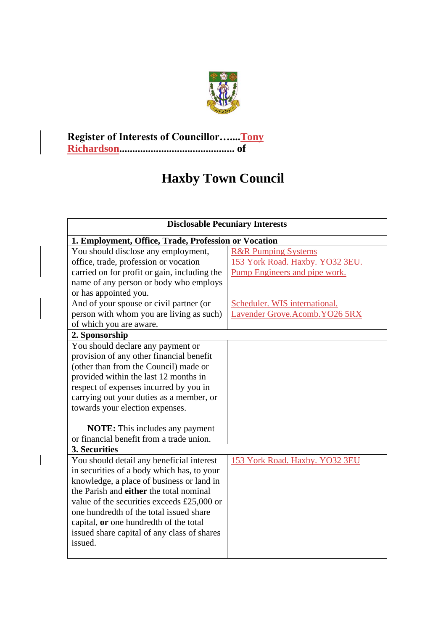

## **Register of Interests of Councillor…....Tony Richardson............................................ of**

## **Haxby Town Council**

| <b>Disclosable Pecuniary Interests</b>               |                                 |  |  |  |
|------------------------------------------------------|---------------------------------|--|--|--|
| 1. Employment, Office, Trade, Profession or Vocation |                                 |  |  |  |
| You should disclose any employment,                  | <b>R&amp;R Pumping Systems</b>  |  |  |  |
| office, trade, profession or vocation                | 153 York Road. Haxby. YO32 3EU. |  |  |  |
| carried on for profit or gain, including the         | Pump Engineers and pipe work.   |  |  |  |
| name of any person or body who employs               |                                 |  |  |  |
| or has appointed you.                                |                                 |  |  |  |
| And of your spouse or civil partner (or              | Scheduler. WIS international.   |  |  |  |
| person with whom you are living as such)             | Lavender Grove.Acomb.YO26 5RX   |  |  |  |
| of which you are aware.                              |                                 |  |  |  |
| 2. Sponsorship                                       |                                 |  |  |  |
| You should declare any payment or                    |                                 |  |  |  |
| provision of any other financial benefit             |                                 |  |  |  |
| (other than from the Council) made or                |                                 |  |  |  |
| provided within the last 12 months in                |                                 |  |  |  |
| respect of expenses incurred by you in               |                                 |  |  |  |
| carrying out your duties as a member, or             |                                 |  |  |  |
| towards your election expenses.                      |                                 |  |  |  |
|                                                      |                                 |  |  |  |
| <b>NOTE:</b> This includes any payment               |                                 |  |  |  |
| or financial benefit from a trade union.             |                                 |  |  |  |
| 3. Securities                                        |                                 |  |  |  |
| You should detail any beneficial interest            | 153 York Road. Haxby. YO32 3EU  |  |  |  |
| in securities of a body which has, to your           |                                 |  |  |  |
| knowledge, a place of business or land in            |                                 |  |  |  |
| the Parish and either the total nominal              |                                 |  |  |  |
| value of the securities exceeds £25,000 or           |                                 |  |  |  |
| one hundredth of the total issued share              |                                 |  |  |  |
| capital, or one hundredth of the total               |                                 |  |  |  |
| issued share capital of any class of shares          |                                 |  |  |  |
| issued.                                              |                                 |  |  |  |
|                                                      |                                 |  |  |  |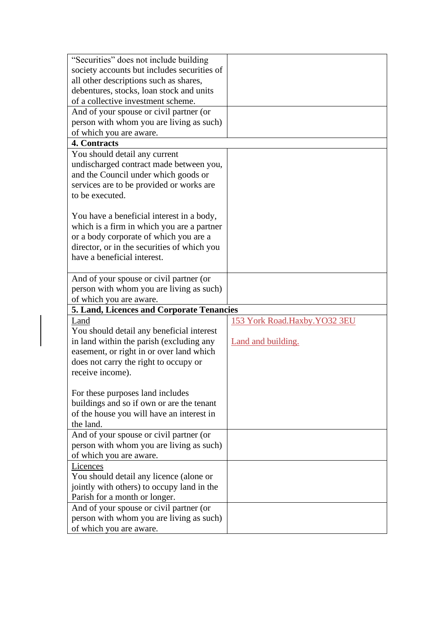| "Securities" does not include building      |                              |
|---------------------------------------------|------------------------------|
| society accounts but includes securities of |                              |
| all other descriptions such as shares,      |                              |
| debentures, stocks, loan stock and units    |                              |
| of a collective investment scheme.          |                              |
| And of your spouse or civil partner (or     |                              |
| person with whom you are living as such)    |                              |
| of which you are aware.                     |                              |
| 4. Contracts                                |                              |
| You should detail any current               |                              |
| undischarged contract made between you,     |                              |
| and the Council under which goods or        |                              |
| services are to be provided or works are    |                              |
| to be executed.                             |                              |
|                                             |                              |
|                                             |                              |
| You have a beneficial interest in a body,   |                              |
| which is a firm in which you are a partner  |                              |
| or a body corporate of which you are a      |                              |
| director, or in the securities of which you |                              |
| have a beneficial interest.                 |                              |
|                                             |                              |
| And of your spouse or civil partner (or     |                              |
| person with whom you are living as such)    |                              |
| of which you are aware.                     |                              |
| 5. Land, Licences and Corporate Tenancies   |                              |
| Land                                        |                              |
|                                             |                              |
|                                             | 153 York Road.Haxby.YO32 3EU |
| You should detail any beneficial interest   |                              |
| in land within the parish (excluding any    | Land and building.           |
| easement, or right in or over land which    |                              |
| does not carry the right to occupy or       |                              |
| receive income).                            |                              |
|                                             |                              |
| For these purposes land includes            |                              |
| buildings and so if own or are the tenant   |                              |
| of the house you will have an interest in   |                              |
| the land.                                   |                              |
| And of your spouse or civil partner (or     |                              |
| person with whom you are living as such)    |                              |
| of which you are aware.                     |                              |
| Licences                                    |                              |
| You should detail any licence (alone or     |                              |
| jointly with others) to occupy land in the  |                              |
| Parish for a month or longer.               |                              |
| And of your spouse or civil partner (or     |                              |
| person with whom you are living as such)    |                              |